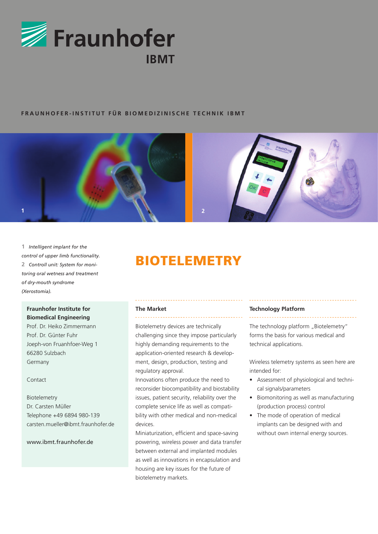

# **FRAUNHOFER-INSTITUT FÜR B io m e d i z inis c he T e c hni k IB M T**



**1** *Intelligent implant for the control of upper limb functionality.* **2** *Controll unit: System for monitoring oral wetness and treatment of dry-mouth syndrome (Xerostomia).*

# **Fraunhofer Institute for Biomedical Engineering**

Prof. Dr. Heiko Zimmermann Prof. Dr. Günter Fuhr Joeph-von Fruanhfoer-Weg 1 66280 Sulzbach Germany

Contact

Biotelemetry Dr. Carsten Müller Telephone +49 6894 980-139 carsten.mueller@ibmt.fraunhofer.de

## www.jbmt.fraunhofer.de

# **BIOTELEMETRY**

#### **The Market**

Biotelemetry devices are technically challenging since they impose particularly highly demanding requirements to the application-oriented research & development, design, production, testing and regulatory approval.

Innovations often produce the need to reconsider biocompatibility and biostability issues, patient security, reliability over the complete service life as well as compatibility with other medical and non-medical devices.

Miniaturization, efficient and space-saving powering, wireless power and data transfer between external and implanted modules as well as innovations in encapsulation and housing are key issues for the future of biotelemetry markets.

### **Technology Platform**

The technology platform "Biotelemetry" forms the basis for various medical and technical applications.

Wireless telemetry systems as seen here are intended for:

- Assessment of physiological and technical signals/parameters
- Biomonitoring as well as manufacturing (production process) control
- The mode of operation of medical implants can be designed with and without own internal energy sources.